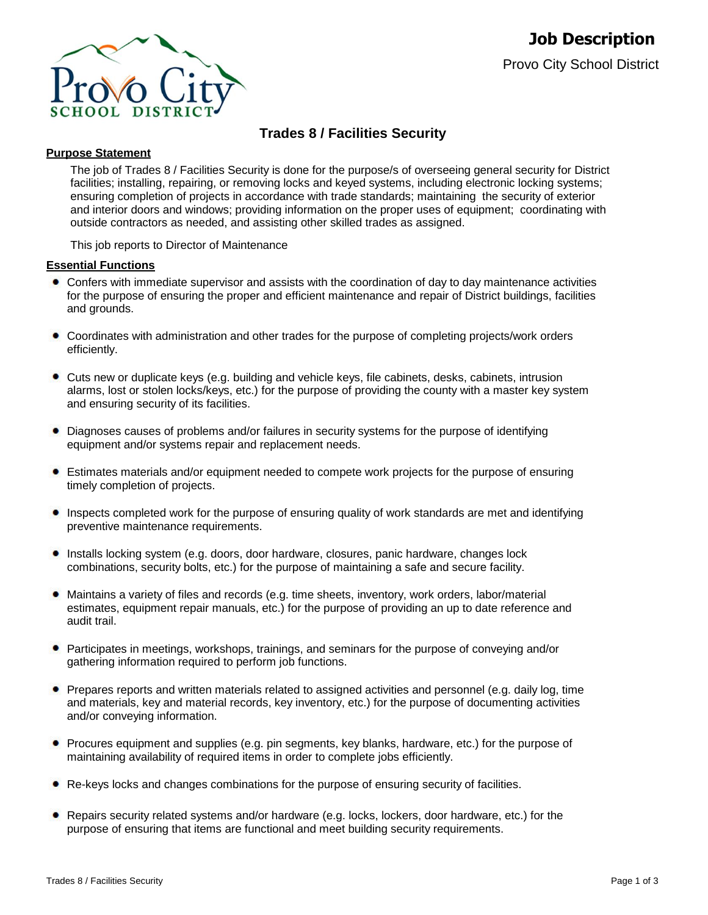

# **Trades 8 / Facilities Security**

# **Purpose Statement**

The job of Trades 8 / Facilities Security is done for the purpose/s of overseeing general security for District facilities; installing, repairing, or removing locks and keyed systems, including electronic locking systems; ensuring completion of projects in accordance with trade standards; maintaining the security of exterior and interior doors and windows; providing information on the proper uses of equipment; coordinating with outside contractors as needed, and assisting other skilled trades as assigned.

This job reports to Director of Maintenance

### **Essential Functions**

- Confers with immediate supervisor and assists with the coordination of day to day maintenance activities for the purpose of ensuring the proper and efficient maintenance and repair of District buildings, facilities and grounds.
- Coordinates with administration and other trades for the purpose of completing projects/work orders efficiently.
- Cuts new or duplicate keys (e.g. building and vehicle keys, file cabinets, desks, cabinets, intrusion alarms, lost or stolen locks/keys, etc.) for the purpose of providing the county with a master key system and ensuring security of its facilities.
- ٠ Diagnoses causes of problems and/or failures in security systems for the purpose of identifying equipment and/or systems repair and replacement needs.
- Estimates materials and/or equipment needed to compete work projects for the purpose of ensuring timely completion of projects.
- Inspects completed work for the purpose of ensuring quality of work standards are met and identifying preventive maintenance requirements.
- Installs locking system (e.g. doors, door hardware, closures, panic hardware, changes lock combinations, security bolts, etc.) for the purpose of maintaining a safe and secure facility.
- Maintains a variety of files and records (e.g. time sheets, inventory, work orders, labor/material estimates, equipment repair manuals, etc.) for the purpose of providing an up to date reference and audit trail.
- **•** Participates in meetings, workshops, trainings, and seminars for the purpose of conveying and/or gathering information required to perform job functions.
- Prepares reports and written materials related to assigned activities and personnel (e.g. daily log, time and materials, key and material records, key inventory, etc.) for the purpose of documenting activities and/or conveying information.
- Procures equipment and supplies (e.g. pin segments, key blanks, hardware, etc.) for the purpose of  $\bullet$ maintaining availability of required items in order to complete jobs efficiently.
- Re-keys locks and changes combinations for the purpose of ensuring security of facilities.
- Repairs security related systems and/or hardware (e.g. locks, lockers, door hardware, etc.) for the purpose of ensuring that items are functional and meet building security requirements.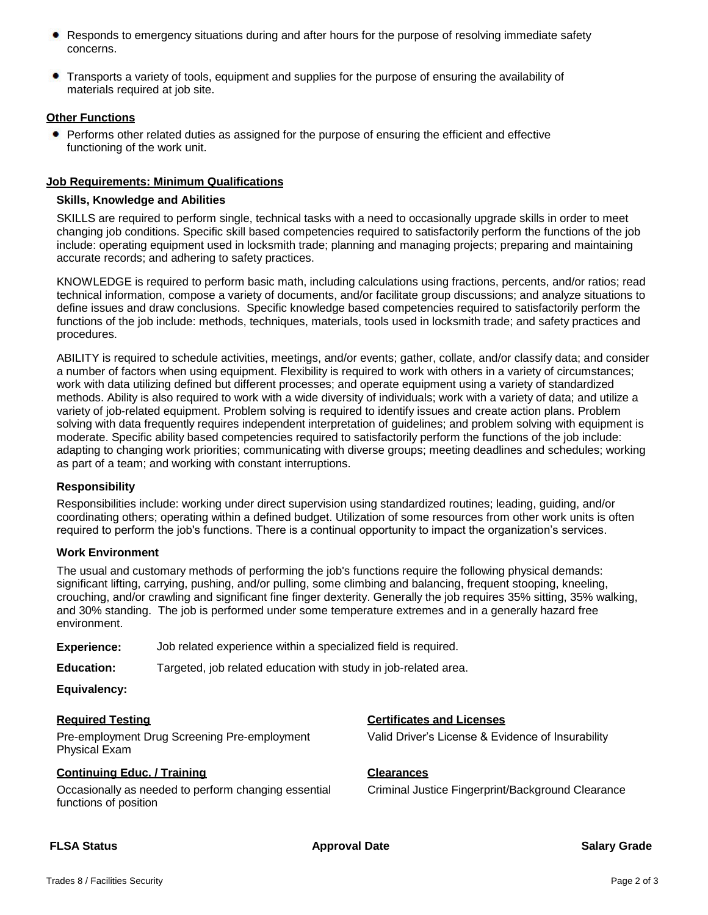- Responds to emergency situations during and after hours for the purpose of resolving immediate safety concerns.
- Transports a variety of tools, equipment and supplies for the purpose of ensuring the availability of materials required at job site.

### **Other Functions**

• Performs other related duties as assigned for the purpose of ensuring the efficient and effective functioning of the work unit.

# **Job Requirements: Minimum Qualifications**

#### **Skills, Knowledge and Abilities**

SKILLS are required to perform single, technical tasks with a need to occasionally upgrade skills in order to meet changing job conditions. Specific skill based competencies required to satisfactorily perform the functions of the job include: operating equipment used in locksmith trade; planning and managing projects; preparing and maintaining accurate records; and adhering to safety practices.

KNOWLEDGE is required to perform basic math, including calculations using fractions, percents, and/or ratios; read technical information, compose a variety of documents, and/or facilitate group discussions; and analyze situations to define issues and draw conclusions. Specific knowledge based competencies required to satisfactorily perform the functions of the job include: methods, techniques, materials, tools used in locksmith trade; and safety practices and procedures.

ABILITY is required to schedule activities, meetings, and/or events; gather, collate, and/or classify data; and consider a number of factors when using equipment. Flexibility is required to work with others in a variety of circumstances; work with data utilizing defined but different processes; and operate equipment using a variety of standardized methods. Ability is also required to work with a wide diversity of individuals; work with a variety of data; and utilize a variety of job-related equipment. Problem solving is required to identify issues and create action plans. Problem solving with data frequently requires independent interpretation of guidelines; and problem solving with equipment is moderate. Specific ability based competencies required to satisfactorily perform the functions of the job include: adapting to changing work priorities; communicating with diverse groups; meeting deadlines and schedules; working as part of a team; and working with constant interruptions.

### **Responsibility**

Responsibilities include: working under direct supervision using standardized routines; leading, guiding, and/or coordinating others; operating within a defined budget. Utilization of some resources from other work units is often required to perform the job's functions. There is a continual opportunity to impact the organization's services.

### **Work Environment**

The usual and customary methods of performing the job's functions require the following physical demands: significant lifting, carrying, pushing, and/or pulling, some climbing and balancing, frequent stooping, kneeling, crouching, and/or crawling and significant fine finger dexterity. Generally the job requires 35% sitting, 35% walking, and 30% standing. The job is performed under some temperature extremes and in a generally hazard free environment.

**Experience:** Job related experience within a specialized field is required.

**Education:** Targeted, job related education with study in job-related area.

**Equivalency:**

Pre-employment Drug Screening Pre-employment Physical Exam

### **Continuing Educ. / Training <b>Clearances**

Occasionally as needed to perform changing essential functions of position

# **Required Testing Certificates and Licenses**

Valid Driver's License & Evidence of Insurability

Criminal Justice Fingerprint/Background Clearance